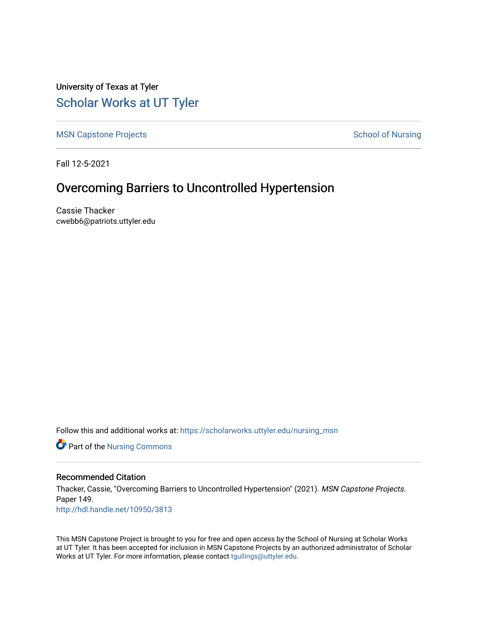University of Texas at Tyler [Scholar Works at UT Tyler](https://scholarworks.uttyler.edu/) 

[MSN Capstone Projects](https://scholarworks.uttyler.edu/nursing_msn) **School of Nursing** School of Nursing

Fall 12-5-2021

# Overcoming Barriers to Uncontrolled Hypertension

Cassie Thacker cwebb6@patriots.uttyler.edu

Follow this and additional works at: [https://scholarworks.uttyler.edu/nursing\\_msn](https://scholarworks.uttyler.edu/nursing_msn?utm_source=scholarworks.uttyler.edu%2Fnursing_msn%2F149&utm_medium=PDF&utm_campaign=PDFCoverPages)

**Part of the Nursing Commons** 

## Recommended Citation

Thacker, Cassie, "Overcoming Barriers to Uncontrolled Hypertension" (2021). MSN Capstone Projects. Paper 149. [http://hdl.handle.net/10950/3813](http://hdl.handle.net/10950/3813?utm_source=scholarworks.uttyler.edu%2Fnursing_msn%2F149&utm_medium=PDF&utm_campaign=PDFCoverPages) 

This MSN Capstone Project is brought to you for free and open access by the School of Nursing at Scholar Works at UT Tyler. It has been accepted for inclusion in MSN Capstone Projects by an authorized administrator of Scholar Works at UT Tyler. For more information, please contact [tgullings@uttyler.edu](mailto:tgullings@uttyler.edu).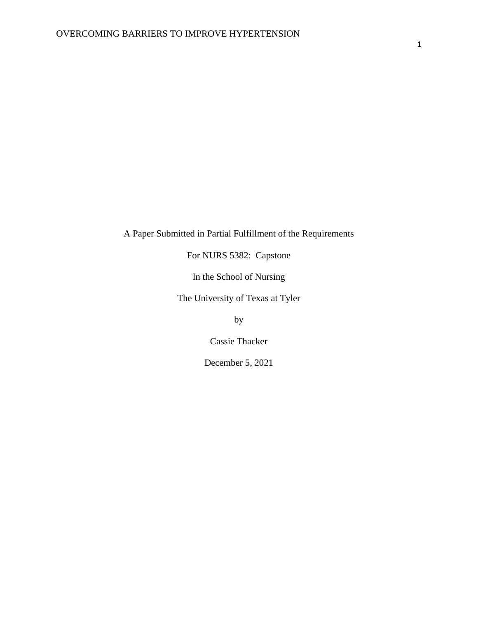# A Paper Submitted in Partial Fulfillment of the Requirements

For NURS 5382: Capstone

In the School of Nursing

The University of Texas at Tyler

by

Cassie Thacker

December 5, 2021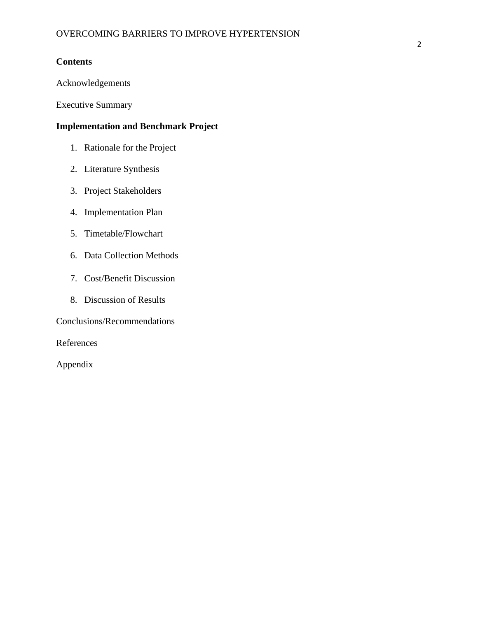## **Contents**

Acknowledgements

Executive Summary

## **Implementation and Benchmark Project**

- 1. Rationale for the Project
- 2. Literature Synthesis
- 3. Project Stakeholders
- 4. Implementation Plan
- 5. Timetable/Flowchart
- 6. Data Collection Methods
- 7. Cost/Benefit Discussion
- 8. Discussion of Results

Conclusions/Recommendations

References

Appendix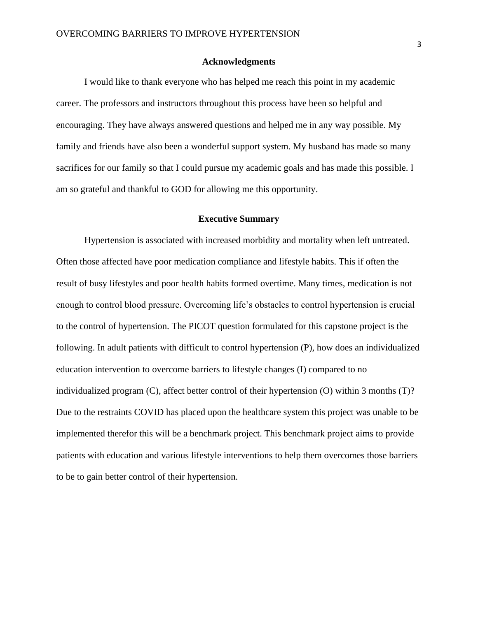#### **Acknowledgments**

I would like to thank everyone who has helped me reach this point in my academic career. The professors and instructors throughout this process have been so helpful and encouraging. They have always answered questions and helped me in any way possible. My family and friends have also been a wonderful support system. My husband has made so many sacrifices for our family so that I could pursue my academic goals and has made this possible. I am so grateful and thankful to GOD for allowing me this opportunity.

## **Executive Summary**

Hypertension is associated with increased morbidity and mortality when left untreated. Often those affected have poor medication compliance and lifestyle habits. This if often the result of busy lifestyles and poor health habits formed overtime. Many times, medication is not enough to control blood pressure. Overcoming life's obstacles to control hypertension is crucial to the control of hypertension. The PICOT question formulated for this capstone project is the following. In adult patients with difficult to control hypertension (P), how does an individualized education intervention to overcome barriers to lifestyle changes (I) compared to no individualized program (C), affect better control of their hypertension (O) within 3 months (T)? Due to the restraints COVID has placed upon the healthcare system this project was unable to be implemented therefor this will be a benchmark project. This benchmark project aims to provide patients with education and various lifestyle interventions to help them overcomes those barriers to be to gain better control of their hypertension.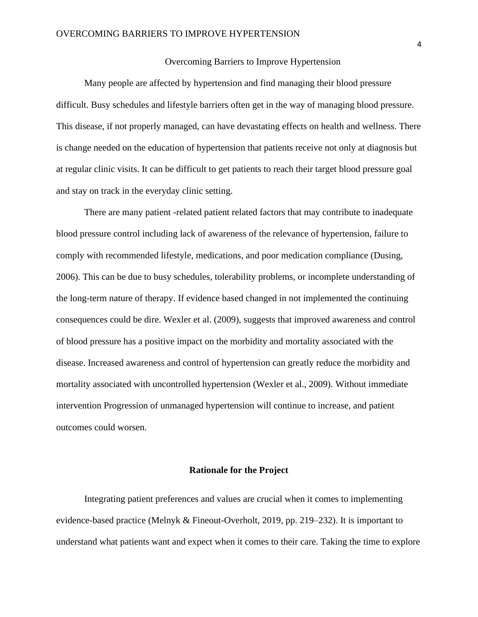## Overcoming Barriers to Improve Hypertension

Many people are affected by hypertension and find managing their blood pressure difficult. Busy schedules and lifestyle barriers often get in the way of managing blood pressure. This disease, if not properly managed, can have devastating effects on health and wellness. There is change needed on the education of hypertension that patients receive not only at diagnosis but at regular clinic visits. It can be difficult to get patients to reach their target blood pressure goal and stay on track in the everyday clinic setting.

There are many patient -related patient related factors that may contribute to inadequate blood pressure control including lack of awareness of the relevance of hypertension, failure to comply with recommended lifestyle, medications, and poor medication compliance (Dusing, 2006). This can be due to busy schedules, tolerability problems, or incomplete understanding of the long-term nature of therapy. If evidence based changed in not implemented the continuing consequences could be dire. Wexler et al. (2009), suggests that improved awareness and control of blood pressure has a positive impact on the morbidity and mortality associated with the disease. Increased awareness and control of hypertension can greatly reduce the morbidity and mortality associated with uncontrolled hypertension (Wexler et al., 2009). Without immediate intervention Progression of unmanaged hypertension will continue to increase, and patient outcomes could worsen.

#### **Rationale for the Project**

Integrating patient preferences and values are crucial when it comes to implementing evidence-based practice (Melnyk & Fineout-Overholt, 2019, pp. 219–232). It is important to understand what patients want and expect when it comes to their care. Taking the time to explore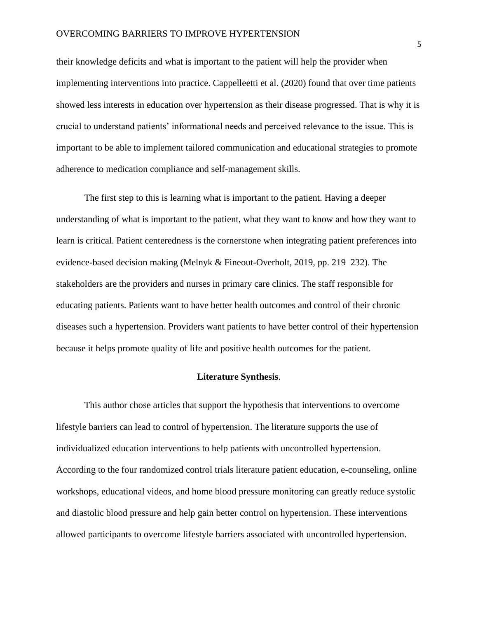## OVERCOMING BARRIERS TO IMPROVE HYPERTENSION

their knowledge deficits and what is important to the patient will help the provider when implementing interventions into practice. Cappelleetti et al. (2020) found that over time patients showed less interests in education over hypertension as their disease progressed. That is why it is crucial to understand patients' informational needs and perceived relevance to the issue. This is important to be able to implement tailored communication and educational strategies to promote adherence to medication compliance and self-management skills.

The first step to this is learning what is important to the patient. Having a deeper understanding of what is important to the patient, what they want to know and how they want to learn is critical. Patient centeredness is the cornerstone when integrating patient preferences into evidence-based decision making (Melnyk & Fineout-Overholt, 2019, pp. 219–232). The stakeholders are the providers and nurses in primary care clinics. The staff responsible for educating patients. Patients want to have better health outcomes and control of their chronic diseases such a hypertension. Providers want patients to have better control of their hypertension because it helps promote quality of life and positive health outcomes for the patient.

## **Literature Synthesis**.

This author chose articles that support the hypothesis that interventions to overcome lifestyle barriers can lead to control of hypertension. The literature supports the use of individualized education interventions to help patients with uncontrolled hypertension. According to the four randomized control trials literature patient education, e-counseling, online workshops, educational videos, and home blood pressure monitoring can greatly reduce systolic and diastolic blood pressure and help gain better control on hypertension. These interventions allowed participants to overcome lifestyle barriers associated with uncontrolled hypertension.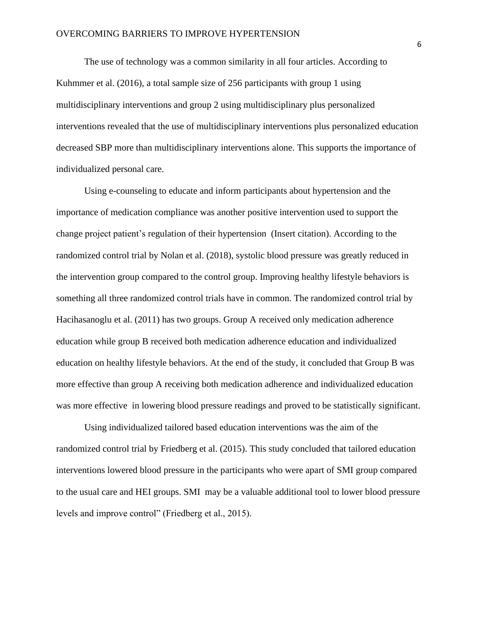The use of technology was a common similarity in all four articles. According to Kuhmmer et al. (2016), a total sample size of 256 participants with group 1 using multidisciplinary interventions and group 2 using multidisciplinary plus personalized interventions revealed that the use of multidisciplinary interventions plus personalized education decreased SBP more than multidisciplinary interventions alone. This supports the importance of individualized personal care.

Using e-counseling to educate and inform participants about hypertension and the importance of medication compliance was another positive intervention used to support the change project patient's regulation of their hypertension (Insert citation). According to the randomized control trial by Nolan et al. (2018), systolic blood pressure was greatly reduced in the intervention group compared to the control group. Improving healthy lifestyle behaviors is something all three randomized control trials have in common. The randomized control trial by Hacihasanoglu et al. (2011) has two groups. Group A received only medication adherence education while group B received both medication adherence education and individualized education on healthy lifestyle behaviors. At the end of the study, it concluded that Group B was more effective than group A receiving both medication adherence and individualized education was more effective in lowering blood pressure readings and proved to be statistically significant.

Using individualized tailored based education interventions was the aim of the randomized control trial by Friedberg et al. (2015). This study concluded that tailored education interventions lowered blood pressure in the participants who were apart of SMI group compared to the usual care and HEI groups. SMI may be a valuable additional tool to lower blood pressure levels and improve control" (Friedberg et al., 2015).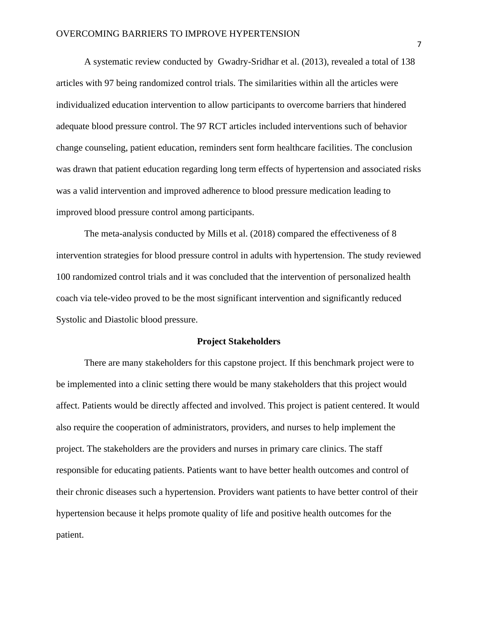A systematic review conducted by Gwadry-Sridhar et al. (2013), revealed a total of 138 articles with 97 being randomized control trials. The similarities within all the articles were individualized education intervention to allow participants to overcome barriers that hindered adequate blood pressure control. The 97 RCT articles included interventions such of behavior change counseling, patient education, reminders sent form healthcare facilities. The conclusion was drawn that patient education regarding long term effects of hypertension and associated risks was a valid intervention and improved adherence to blood pressure medication leading to improved blood pressure control among participants.

The meta-analysis conducted by Mills et al. (2018) compared the effectiveness of 8 intervention strategies for blood pressure control in adults with hypertension. The study reviewed 100 randomized control trials and it was concluded that the intervention of personalized health coach via tele-video proved to be the most significant intervention and significantly reduced Systolic and Diastolic blood pressure.

#### **Project Stakeholders**

There are many stakeholders for this capstone project. If this benchmark project were to be implemented into a clinic setting there would be many stakeholders that this project would affect. Patients would be directly affected and involved. This project is patient centered. It would also require the cooperation of administrators, providers, and nurses to help implement the project. The stakeholders are the providers and nurses in primary care clinics. The staff responsible for educating patients. Patients want to have better health outcomes and control of their chronic diseases such a hypertension. Providers want patients to have better control of their hypertension because it helps promote quality of life and positive health outcomes for the patient.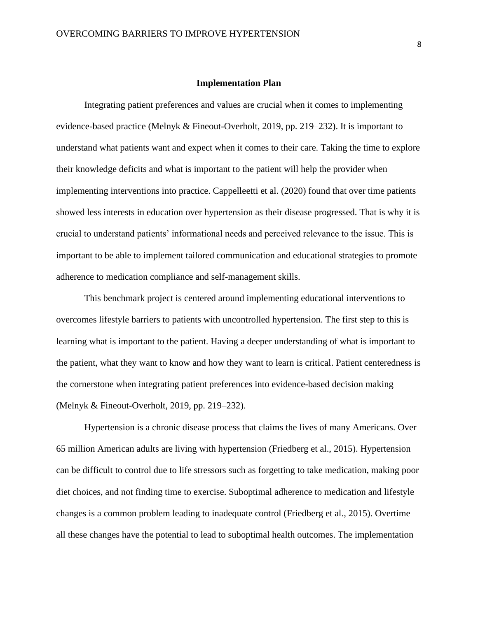#### **Implementation Plan**

Integrating patient preferences and values are crucial when it comes to implementing evidence-based practice (Melnyk & Fineout-Overholt, 2019, pp. 219–232). It is important to understand what patients want and expect when it comes to their care. Taking the time to explore their knowledge deficits and what is important to the patient will help the provider when implementing interventions into practice. Cappelleetti et al. (2020) found that over time patients showed less interests in education over hypertension as their disease progressed. That is why it is crucial to understand patients' informational needs and perceived relevance to the issue. This is important to be able to implement tailored communication and educational strategies to promote adherence to medication compliance and self-management skills.

This benchmark project is centered around implementing educational interventions to overcomes lifestyle barriers to patients with uncontrolled hypertension. The first step to this is learning what is important to the patient. Having a deeper understanding of what is important to the patient, what they want to know and how they want to learn is critical. Patient centeredness is the cornerstone when integrating patient preferences into evidence-based decision making (Melnyk & Fineout-Overholt, 2019, pp. 219–232).

Hypertension is a chronic disease process that claims the lives of many Americans. Over 65 million American adults are living with hypertension (Friedberg et al., 2015). Hypertension can be difficult to control due to life stressors such as forgetting to take medication, making poor diet choices, and not finding time to exercise. Suboptimal adherence to medication and lifestyle changes is a common problem leading to inadequate control (Friedberg et al., 2015). Overtime all these changes have the potential to lead to suboptimal health outcomes. The implementation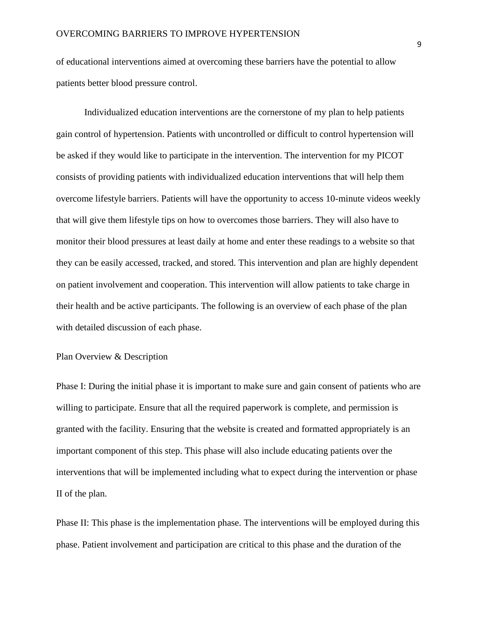of educational interventions aimed at overcoming these barriers have the potential to allow patients better blood pressure control.

Individualized education interventions are the cornerstone of my plan to help patients gain control of hypertension. Patients with uncontrolled or difficult to control hypertension will be asked if they would like to participate in the intervention. The intervention for my PICOT consists of providing patients with individualized education interventions that will help them overcome lifestyle barriers. Patients will have the opportunity to access 10-minute videos weekly that will give them lifestyle tips on how to overcomes those barriers. They will also have to monitor their blood pressures at least daily at home and enter these readings to a website so that they can be easily accessed, tracked, and stored. This intervention and plan are highly dependent on patient involvement and cooperation. This intervention will allow patients to take charge in their health and be active participants. The following is an overview of each phase of the plan with detailed discussion of each phase.

## Plan Overview & Description

Phase I: During the initial phase it is important to make sure and gain consent of patients who are willing to participate. Ensure that all the required paperwork is complete, and permission is granted with the facility. Ensuring that the website is created and formatted appropriately is an important component of this step. This phase will also include educating patients over the interventions that will be implemented including what to expect during the intervention or phase II of the plan.

Phase II: This phase is the implementation phase. The interventions will be employed during this phase. Patient involvement and participation are critical to this phase and the duration of the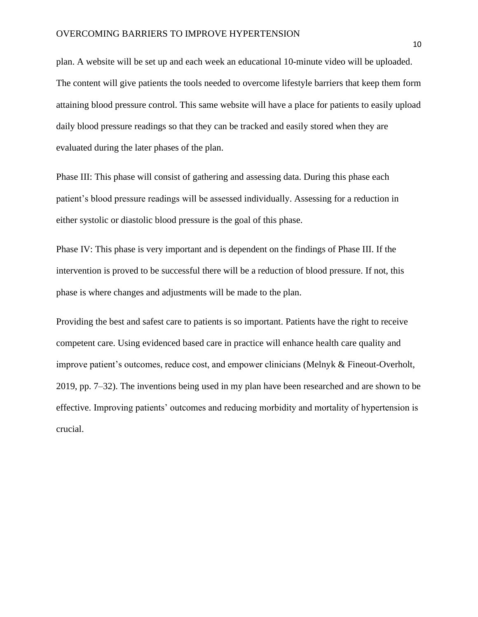plan. A website will be set up and each week an educational 10-minute video will be uploaded. The content will give patients the tools needed to overcome lifestyle barriers that keep them form attaining blood pressure control. This same website will have a place for patients to easily upload daily blood pressure readings so that they can be tracked and easily stored when they are evaluated during the later phases of the plan.

Phase III: This phase will consist of gathering and assessing data. During this phase each patient's blood pressure readings will be assessed individually. Assessing for a reduction in either systolic or diastolic blood pressure is the goal of this phase.

Phase IV: This phase is very important and is dependent on the findings of Phase III. If the intervention is proved to be successful there will be a reduction of blood pressure. If not, this phase is where changes and adjustments will be made to the plan.

Providing the best and safest care to patients is so important. Patients have the right to receive competent care. Using evidenced based care in practice will enhance health care quality and improve patient's outcomes, reduce cost, and empower clinicians (Melnyk & Fineout-Overholt, 2019, pp. 7–32). The inventions being used in my plan have been researched and are shown to be effective. Improving patients' outcomes and reducing morbidity and mortality of hypertension is crucial.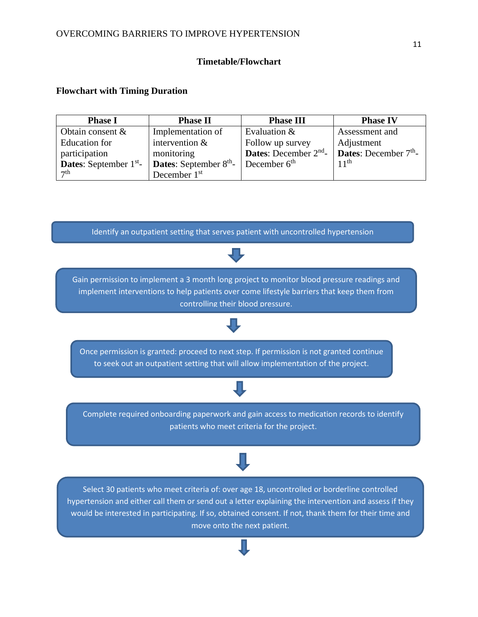## **Timetable/Flowchart**

## **Flowchart with Timing Duration**

| <b>Phase I</b>                  | <b>Phase II</b>                 | <b>Phase III</b>                  | <b>Phase IV</b>                |
|---------------------------------|---------------------------------|-----------------------------------|--------------------------------|
| Obtain consent $\&$             | Implementation of               | Evaluation &                      | Assessment and                 |
| Education for                   | intervention $&$                | Follow up survey                  | Adjustment                     |
| participation                   | monitoring                      | <b>Dates:</b> December $2^{nd}$ - | <b>Dates:</b> December $7th$ - |
| <b>Dates:</b> September $1st$ - | <b>Dates:</b> September $8th$ - | December $6th$                    | 11 <sup>th</sup>               |
| $\tau$ th                       | December $1st$                  |                                   |                                |

Identify an outpatient setting that serves patient with uncontrolled hypertension



hypertension and either call them or send out a letter explaining the intervention and assess if they would be interested in participating. If so, obtained consent. If not, thank them for their time and move onto the next patient.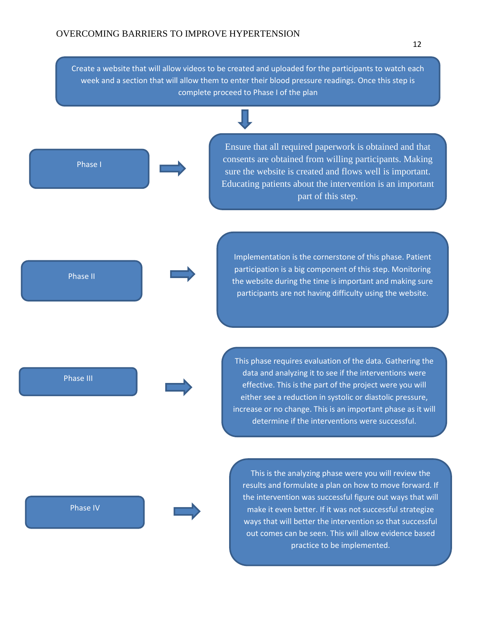Create a website that will allow videos to be created and uploaded for the participants to watch each week and a section that will allow them to enter their blood pressure readings. Once this step is complete proceed to Phase I of the plan

Phase I

Ensure that all required paperwork is obtained and that consents are obtained from willing participants. Making sure the website is created and flows well is important. Educating patients about the intervention is an important part of this step.

Implementation is the cornerstone of this phase. Patient participation is a big component of this step. Monitoring the website during the time is important and making sure participants are not having difficulty using the website.

This phase requires evaluation of the data. Gathering the data and analyzing it to see if the interventions were effective. This is the part of the project were you will either see a reduction in systolic or diastolic pressure, increase or no change. This is an important phase as it will determine if the interventions were successful.

Phase IV

Phase II

Phase III

This is the analyzing phase were you will review the results and formulate a plan on how to move forward. If the intervention was successful figure out ways that will make it even better. If it was not successful strategize ways that will better the intervention so that successful out comes can be seen. This will allow evidence based practice to be implemented.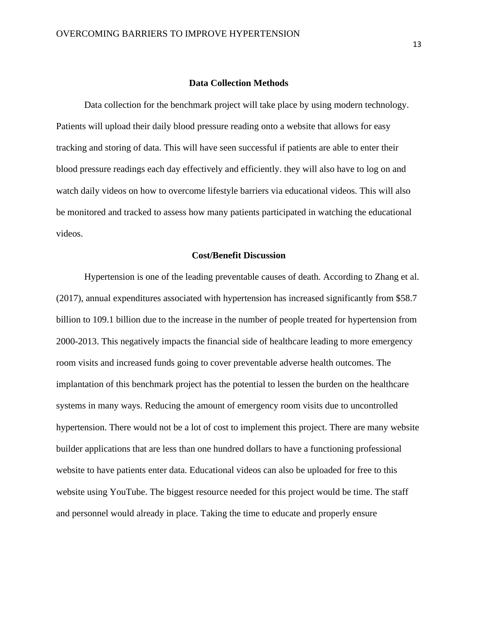#### **Data Collection Methods**

Data collection for the benchmark project will take place by using modern technology. Patients will upload their daily blood pressure reading onto a website that allows for easy tracking and storing of data. This will have seen successful if patients are able to enter their blood pressure readings each day effectively and efficiently. they will also have to log on and watch daily videos on how to overcome lifestyle barriers via educational videos. This will also be monitored and tracked to assess how many patients participated in watching the educational videos.

## **Cost/Benefit Discussion**

Hypertension is one of the leading preventable causes of death. According to Zhang et al. (2017), annual expenditures associated with hypertension has increased significantly from \$58.7 billion to 109.1 billion due to the increase in the number of people treated for hypertension from 2000-2013. This negatively impacts the financial side of healthcare leading to more emergency room visits and increased funds going to cover preventable adverse health outcomes. The implantation of this benchmark project has the potential to lessen the burden on the healthcare systems in many ways. Reducing the amount of emergency room visits due to uncontrolled hypertension. There would not be a lot of cost to implement this project. There are many website builder applications that are less than one hundred dollars to have a functioning professional website to have patients enter data. Educational videos can also be uploaded for free to this website using YouTube. The biggest resource needed for this project would be time. The staff and personnel would already in place. Taking the time to educate and properly ensure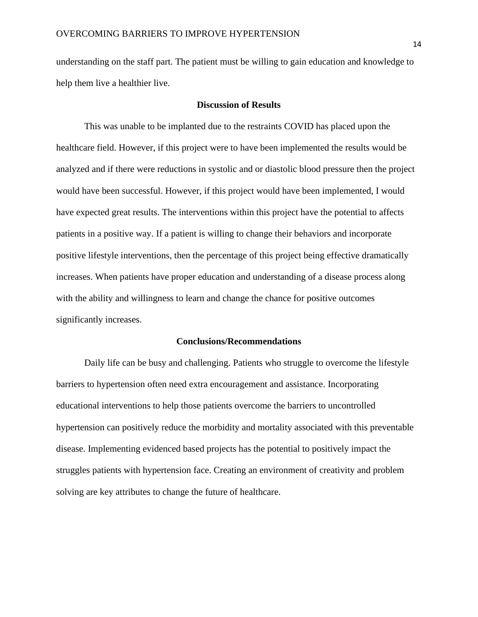understanding on the staff part. The patient must be willing to gain education and knowledge to help them live a healthier live.

#### **Discussion of Results**

This was unable to be implanted due to the restraints COVID has placed upon the healthcare field. However, if this project were to have been implemented the results would be analyzed and if there were reductions in systolic and or diastolic blood pressure then the project would have been successful. However, if this project would have been implemented, I would have expected great results. The interventions within this project have the potential to affects patients in a positive way. If a patient is willing to change their behaviors and incorporate positive lifestyle interventions, then the percentage of this project being effective dramatically increases. When patients have proper education and understanding of a disease process along with the ability and willingness to learn and change the chance for positive outcomes significantly increases.

#### **Conclusions/Recommendations**

Daily life can be busy and challenging. Patients who struggle to overcome the lifestyle barriers to hypertension often need extra encouragement and assistance. Incorporating educational interventions to help those patients overcome the barriers to uncontrolled hypertension can positively reduce the morbidity and mortality associated with this preventable disease. Implementing evidenced based projects has the potential to positively impact the struggles patients with hypertension face. Creating an environment of creativity and problem solving are key attributes to change the future of healthcare.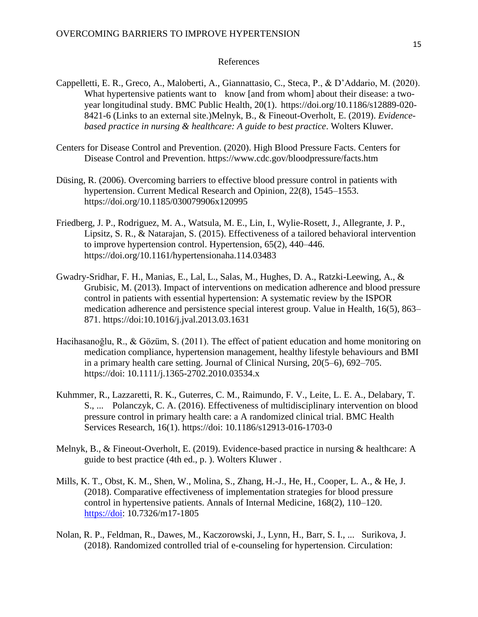## References

- Cappelletti, E. R., Greco, A., Maloberti, A., Giannattasio, C., Steca, P., & D'Addario, M. (2020). What hypertensive patients want to know [and from whom] about their disease: a twoyear longitudinal study. BMC Public Health, 20(1). https://doi.org/10.1186/s12889-020- 8421-6 (Links to an external site.)Melnyk, B., & Fineout-Overholt, E. (2019). *Evidencebased practice in nursing & healthcare: A guide to best practice*. Wolters Kluwer.
- Centers for Disease Control and Prevention. (2020). High Blood Pressure Facts. Centers for Disease Control and Prevention. https://www.cdc.gov/bloodpressure/facts.htm
- Düsing, R. (2006). Overcoming barriers to effective blood pressure control in patients with hypertension. Current Medical Research and Opinion, 22(8), 1545–1553. https://doi.org/10.1185/030079906x120995
- Friedberg, J. P., Rodriguez, M. A., Watsula, M. E., Lin, I., Wylie-Rosett, J., Allegrante, J. P., Lipsitz, S. R., & Natarajan, S. (2015). Effectiveness of a tailored behavioral intervention to improve hypertension control. Hypertension, 65(2), 440–446. https://doi.org/10.1161/hypertensionaha.114.03483
- Gwadry-Sridhar, F. H., Manias, E., Lal, L., Salas, M., Hughes, D. A., Ratzki-Leewing, A., & Grubisic, M. (2013). Impact of interventions on medication adherence and blood pressure control in patients with essential hypertension: A systematic review by the ISPOR medication adherence and persistence special interest group. Value in Health, 16(5), 863– 871. https://doi:10.1016/j.jval.2013.03.1631
- Hacihasanoğlu, R., & Gözüm, S. (2011). The effect of patient education and home monitoring on medication compliance, hypertension management, healthy lifestyle behaviours and BMI in a primary health care setting. Journal of Clinical Nursing, 20(5–6), 692–705. https://doi: 10.1111/j.1365-2702.2010.03534.x
- Kuhmmer, R., Lazzaretti, R. K., Guterres, C. M., Raimundo, F. V., Leite, L. E. A., Delabary, T. S., ... Polanczyk, C. A. (2016). Effectiveness of multidisciplinary intervention on blood pressure control in primary health care: a A randomized clinical trial. BMC Health Services Research, 16(1). https://doi: 10.1186/s12913-016-1703-0
- Melnyk, B., & Fineout-Overholt, E. (2019). Evidence-based practice in nursing & healthcare: A guide to best practice (4th ed., p. ). Wolters Kluwer .
- Mills, K. T., Obst, K. M., Shen, W., Molina, S., Zhang, H.-J., He, H., Cooper, L. A., & He, J. (2018). Comparative effectiveness of implementation strategies for blood pressure control in hypertensive patients. Annals of Internal Medicine, 168(2), 110–120. [https://doi:](https://doi/) 10.7326/m17-1805
- Nolan, R. P., Feldman, R., Dawes, M., Kaczorowski, J., Lynn, H., Barr, S. I., ... Surikova, J. (2018). Randomized controlled trial of e-counseling for hypertension. Circulation: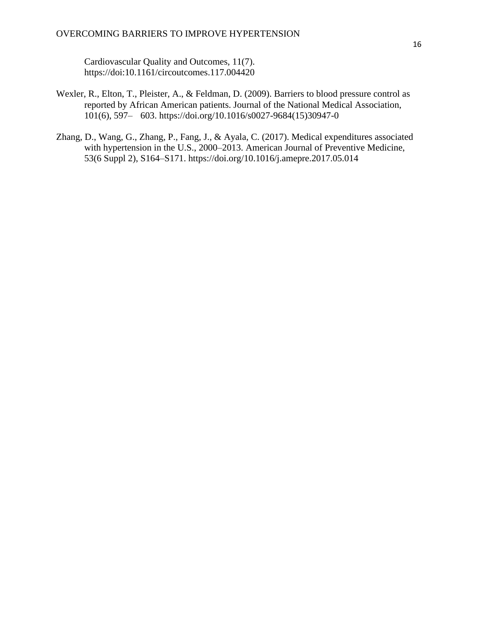Cardiovascular Quality and Outcomes, 11(7). https://doi:10.1161/circoutcomes.117.004420

- Wexler, R., Elton, T., Pleister, A., & Feldman, D. (2009). Barriers to blood pressure control as reported by African American patients. Journal of the National Medical Association, 101(6), 597– 603. https://doi.org/10.1016/s0027-9684(15)30947-0
- Zhang, D., Wang, G., Zhang, P., Fang, J., & Ayala, C. (2017). Medical expenditures associated with hypertension in the U.S., 2000–2013. American Journal of Preventive Medicine, 53(6 Suppl 2), S164–S171. https://doi.org/10.1016/j.amepre.2017.05.014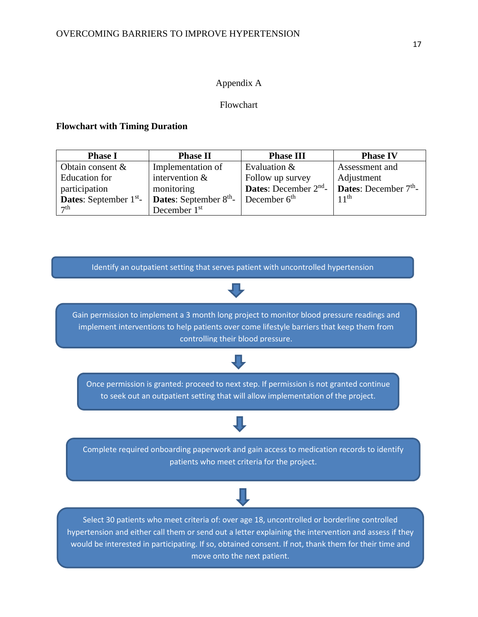## Appendix A

## Flowchart

## **Flowchart with Timing Duration**

| <b>Phase I</b>                  | <b>Phase II</b>                           | <b>Phase III</b>                  | <b>Phase IV</b>                |
|---------------------------------|-------------------------------------------|-----------------------------------|--------------------------------|
| Obtain consent $\&$             | Implementation of                         | Evaluation &                      | Assessment and                 |
| Education for                   | intervention $&$                          | Follow up survey                  | Adjustment                     |
| participation                   | monitoring                                | <b>Dates:</b> December $2^{nd}$ - | <b>Dates:</b> December $7th$ - |
| <b>Dates:</b> September $1st$ - | <b>Dates:</b> September $8^{\text{th}}$ - | December $6th$                    | 11 <sup>th</sup>               |
| $\tau$ th                       | December 1 <sup>st</sup>                  |                                   |                                |